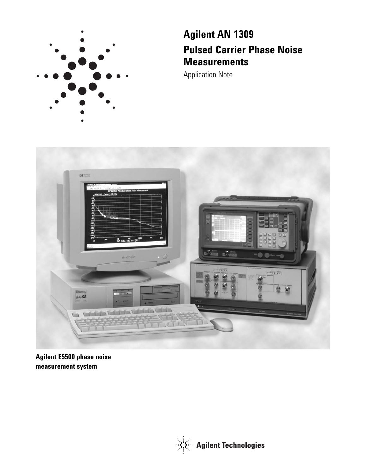

# **Agilent AN 1309 Pulsed Carrier Phase Noise Measurements**

Application Note



**Agilent E5500 phase noise measurement system**

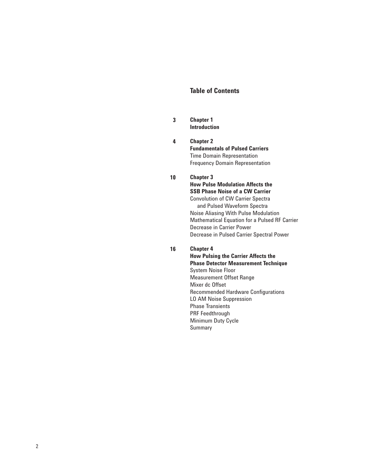# **Table of Contents**

- **3 Chapter 1 Introduction**
- **4 Chapter 2 Fundamentals of Pulsed Carriers** Time Domain Representation Frequency Domain Representation

#### **10 Chapter 3**

**How Pulse Modulation Affects the SSB Phase Noise of a CW Carrier** Convolution of CW Carrier Spectra and Pulsed Waveform Spectra Noise Aliasing With Pulse Modulation Mathematical Equation for a Pulsed RF Carrier Decrease in Carrier Power Decrease in Pulsed Carrier Spectral Power

**16 Chapter 4** 

**How Pulsing the Carrier Affects the Phase Detector Measurement Technique** System Noise Floor Measurement Offset Range Mixer dc Offset Recommended Hardware Configurations LO AM Noise Suppression Phase Transients PRF Feedthrough Minimum Duty Cycle Summary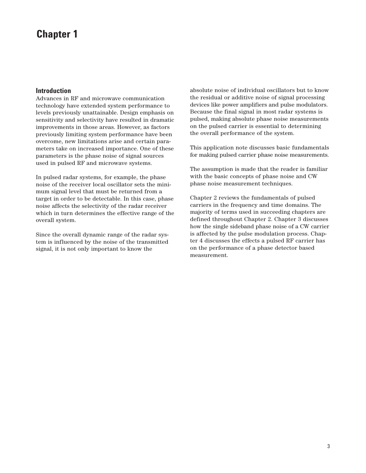# **Chapter 1**

### **Introduction**

Advances in RF and microwave communication technology have extended system performance to levels previously unattainable. Design emphasis on sensitivity and selectivity have resulted in dramatic improvements in those areas. However, as factors previously limiting system performance have been overcome, new limitations arise and certain parameters take on increased importance. One of these parameters is the phase noise of signal sources used in pulsed RF and microwave systems.

In pulsed radar systems, for example, the phase noise of the receiver local oscillator sets the minimum signal level that must be returned from a target in order to be detectable. In this case, phase noise affects the selectivity of the radar receiver which in turn determines the effective range of the overall system.

Since the overall dynamic range of the radar system is influenced by the noise of the transmitted signal, it is not only important to know the

absolute noise of individual oscillators but to know the residual or additive noise of signal processing devices like power amplifiers and pulse modulators. Because the final signal in most radar systems is pulsed, making absolute phase noise measurements on the pulsed carrier is essential to determining the overall performance of the system.

This application note discusses basic fundamentals for making pulsed carrier phase noise measurements.

The assumption is made that the reader is familiar with the basic concepts of phase noise and CW phase noise measurement techniques.

Chapter 2 reviews the fundamentals of pulsed carriers in the frequency and time domains. The majority of terms used in succeeding chapters are defined throughout Chapter 2. Chapter 3 discusses how the single sideband phase noise of a CW carrier is affected by the pulse modulation process. Chapter 4 discusses the effects a pulsed RF carrier has on the performance of a phase detector based measurement.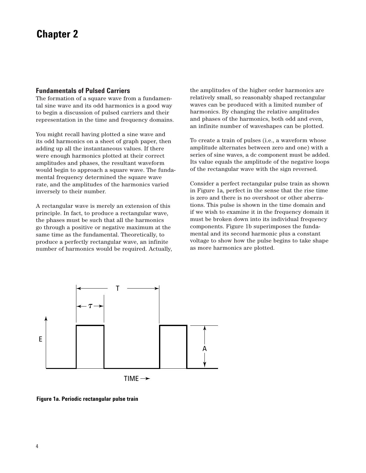### **Fundamentals of Pulsed Carriers**

The formation of a square wave from a fundamental sine wave and its odd harmonics is a good way to begin a discussion of pulsed carriers and their representation in the time and frequency domains.

You might recall having plotted a sine wave and its odd harmonics on a sheet of graph paper, then adding up all the instantaneous values. If there were enough harmonics plotted at their correct amplitudes and phases, the resultant waveform would begin to approach a square wave. The fundamental frequency determined the square wave rate, and the amplitudes of the harmonics varied inversely to their number.

A rectangular wave is merely an extension of this principle. In fact, to produce a rectangular wave, the phases must be such that all the harmonics go through a positive or negative maximum at the same time as the fundamental. Theoretically, to produce a perfectly rectangular wave, an infinite number of harmonics would be required. Actually,

the amplitudes of the higher order harmonics are relatively small, so reasonably shaped rectangular waves can be produced with a limited number of harmonics. By changing the relative amplitudes and phases of the harmonics, both odd and even, an infinite number of waveshapes can be plotted.

To create a train of pulses (i.e., a waveform whose amplitude alternates between zero and one) with a series of sine waves, a dc component must be added. Its value equals the amplitude of the negative loops of the rectangular wave with the sign reversed.

Consider a perfect rectangular pulse train as shown in Figure 1a, perfect in the sense that the rise time is zero and there is no overshoot or other aberrations. This pulse is shown in the time domain and if we wish to examine it in the frequency domain it must be broken down into its individual frequency components. Figure 1b superimposes the fundamental and its second harmonic plus a constant voltage to show how the pulse begins to take shape as more harmonics are plotted.



**Figure 1a. Periodic rectangular pulse train**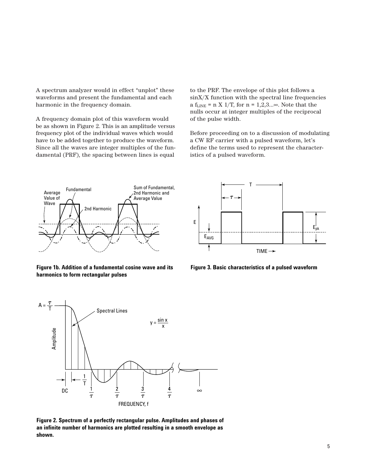A spectrum analyzer would in effect "unplot" these waveforms and present the fundamental and each harmonic in the frequency domain.

A frequency domain plot of this waveform would be as shown in Figure 2. This is an amplitude versus frequency plot of the individual waves which would have to be added together to produce the waveform. Since all the waves are integer multiples of the fundamental (PRF), the spacing between lines is equal

to the PRF. The envelope of this plot follows a sinX/X function with the spectral line frequencies a f<sub>LINE</sub> = n X 1/T, for  $n = 1,2,3...$  Note that the nulls occur at integer multiples of the reciprocal of the pulse width.

Before proceeding on to a discussion of modulating a CW RF carrier with a pulsed waveform, let's define the terms used to represent the characteristics of a pulsed waveform.



**Figure 1b. Addition of a fundamental cosine wave and its harmonics to form rectangular pulses**



**Figure 3. Basic characteristics of a pulsed waveform**



**Figure 2. Spectrum of a perfectly rectangular pulse. Amplitudes and phases of an infinite number of harmonics are plotted resulting in a smooth envelope as shown.**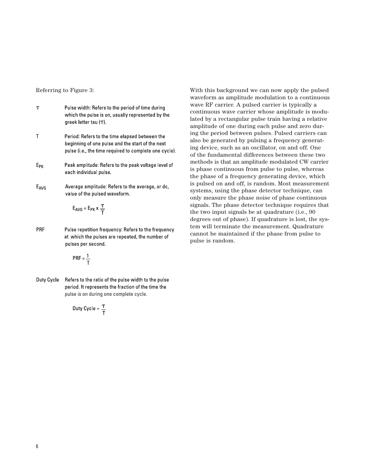- $\tau$ Pulse width: Refers to the period of time during which the pulse is on, usually represented by the greek letter tau  $(\tau)$ .
- $\mathsf T$ Period: Refers to the time elapsed between the beginning of one pulse and the start of the next pulse (i.e., the time required to complete one cycle).
- $E_{PK}$ Peak amplitude: Refers to the peak voltage level of each individual pulse.
- Average amplitude: Refers to the average, or dc,  $E_{AVG}$ value of the pulsed waveform.

$$
E_{AVG} = E_{PK} \times \frac{\tau}{T}
$$

PRF Pulse repetition frequency: Refers to the frequency at which the pulses are repeated, the number of pulses per second.

$$
PRF = \frac{1}{T}
$$

Duty Cycle Refers to the ratio of the pulse width to the pulse period. It represents the fraction of the time the pulse is on during one complete cycle.

$$
Duty Cycle = \frac{\tau}{T}
$$

Referring to Figure 3: With this background we can now apply the pulsed waveform as amplitude modulation to a continuous wave RF carrier. A pulsed carrier is typically a continuous wave carrier whose amplitude is modulated by a rectangular pulse train having a relative amplitude of one during each pulse and zero during the period between pulses. Pulsed carriers can also be generated by pulsing a frequency generating device, such as an oscillator, on and off. One of the fundamental differences between these two methods is that an amplitude modulated CW carrier is phase continuous from pulse to pulse, whereas the phase of a frequency generating device, which is pulsed on and off, is random. Most measurement systems, using the phase detector technique, can only measure the phase noise of phase continuous signals. The phase detector technique requires that the two input signals be at quadrature (i.e., 90 degrees out of phase). If quadrature is lost, the system will terminate the measurement. Quadrature cannot be maintained if the phase from pulse to pulse is random.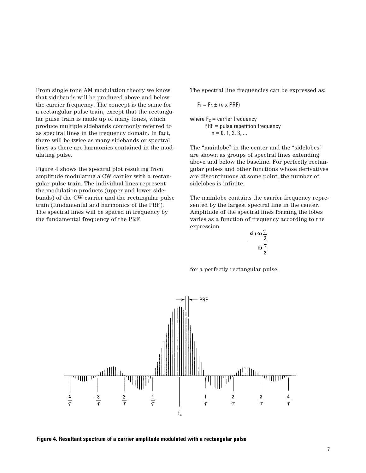From single tone AM modulation theory we know that sidebands will be produced above and below the carrier frequency. The concept is the same for a rectangular pulse train, except that the rectangular pulse train is made up of many tones, which produce multiple sidebands commonly referred to as spectral lines in the frequency domain. In fact, there will be twice as many sidebands or spectral lines as there are harmonics contained in the modulating pulse.

Figure 4 shows the spectral plot resulting from amplitude modulating a CW carrier with a rectangular pulse train. The individual lines represent the modulation products (upper and lower sidebands) of the CW carrier and the rectangular pulse train (fundamental and harmonics of the PRF). The spectral lines will be spaced in frequency by the fundamental frequency of the PRF.

The spectral line frequencies can be expressed as:

$$
F_L = F_C \pm (n \times PRF)
$$

where  $F_c$  = carrier frequency PRF = pulse repetition frequency  $n = 0, 1, 2, 3, ...$ 

The "mainlobe" in the center and the "sidelobes" are shown as groups of spectral lines extending above and below the baseline. For perfectly rectangular pulses and other functions whose derivatives are discontinuous at some point, the number of sidelobes is infinite.

The mainlobe contains the carrier frequency represented by the largest spectral line in the center. Amplitude of the spectral lines forming the lobes varies as a function of frequency according to the expression

$$
\frac{\sin \omega \frac{1}{2}}{\omega \frac{\tau}{2}}
$$

for a perfectly rectangular pulse.



**Figure 4. Resultant spectrum of a carrier amplitude modulated with a rectangular pulse**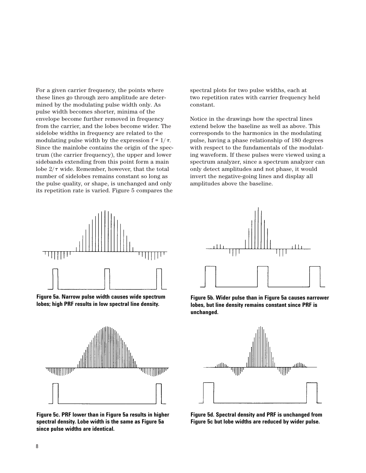For a given carrier frequency, the points where these lines go through zero amplitude are determined by the modulating pulse width only. As pulse width becomes shorter, minima of the envelope become further removed in frequency from the carrier, and the lobes become wider. The sidelobe widths in frequency are related to the modulating pulse width by the expression  $f = 1/\tau$ . Since the mainlobe contains the origin of the spectrum (the carrier frequency), the upper and lower sidebands extending from this point form a main lobe  $2/\tau$  wide. Remember, however, that the total number of sidelobes remains constant so long as the pulse quality, or shape, is unchanged and only its repetition rate is varied. Figure 5 compares the



**Figure 5a. Narrow pulse width causes wide spectrum lobes; high PRF results in low spectral line density.**



**Figure 5c. PRF lower than in Figure 5a results in higher spectral density. Lobe width is the same as Figure 5a since pulse widths are identical.**

spectral plots for two pulse widths, each at two repetition rates with carrier frequency held constant.

Notice in the drawings how the spectral lines extend below the baseline as well as above. This corresponds to the harmonics in the modulating pulse, having a phase relationship of 180 degrees with respect to the fundamentals of the modulating waveform. If these pulses were viewed using a spectrum analyzer, since a spectrum analyzer can only detect amplitudes and not phase, it would invert the negative-going lines and display all amplitudes above the baseline.



**Figure 5b. Wider pulse than in Figure 5a causes narrower lobes, but line density remains constant since PRF is unchanged.**



**Figure 5d. Spectral density and PRF is unchanged from Figure 5c but lobe widths are reduced by wider pulse.**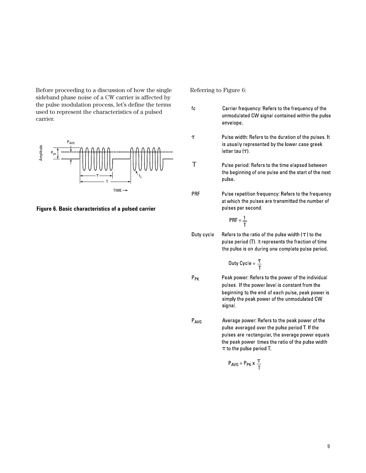Before proceeding to a discussion of how the single sideband phase noise of a CW carrier is affected by the pulse modulation process, let's define the terms used to represent the characteristics of a pulsed carrier.



**Figure 6. Basic characteristics of a pulsed carrier**

Referring to Figure 6:

- $\operatorname{\sf fc}$ Carrier frequency: Refers to the frequency of the unmodulated CW signal contained within the pulse envelope.
- $\boldsymbol{\tau}$ Pulse width: Refers to the duration of the pulses. It is usually represented by the lower case greek letter tau  $(\tau)$
- TPulse period: Refers to the time elapsed between the beginning of one pulse and the start of the next pulse.
- PRF Pulse repetition frequency: Refers to the frequency at which the pulses are transmitted the number of pulses per second.

$$
PRF = \frac{1}{T}
$$

Duty cycle Refers to the ratio of the pulse width  $(\tau)$  to the pulse period (T). It represents the fraction of time the pulse is on during one complete pulse period.

$$
Duty Cycle = \frac{\tau}{\tau}
$$

- $P_{PK}$ Peak power: Refers to the power of the individual pulses. If the power level is constant from the beginning to the end of each pulse, peak power is simply the peak power of the unmodulated CW signal.
- $P_{AVG}$ Average power: Refers to the peak power of the pulse averaged over the pulse period T. If the pulses are rectangular, the average power equals the peak power times the ratio of the pulse width T to the pulse period T.

$$
P_{AVG} = P_{PK} \times \frac{\tau}{T}
$$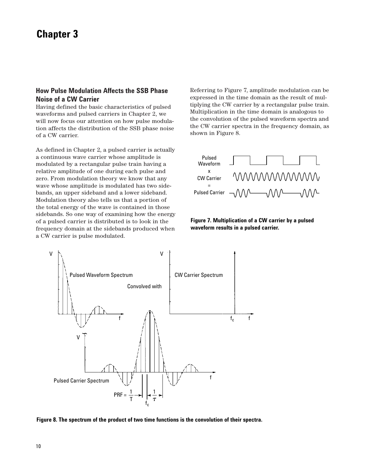# **Chapter 3**

# **How Pulse Modulation Affects the SSB Phase Noise of a CW Carrier**

Having defined the basic characteristics of pulsed waveforms and pulsed carriers in Chapter 2, we will now focus our attention on how pulse modulation affects the distribution of the SSB phase noise of a CW carrier.

As defined in Chapter 2, a pulsed carrier is actually a continuous wave carrier whose amplitude is modulated by a rectangular pulse train having a relative amplitude of one during each pulse and zero. From modulation theory we know that any wave whose amplitude is modulated has two sidebands, an upper sideband and a lower sideband. Modulation theory also tells us that a portion of the total energy of the wave is contained in those sidebands. So one way of examining how the energy of a pulsed carrier is distributed is to look in the frequency domain at the sidebands produced when a CW carrier is pulse modulated.

Referring to Figure 7, amplitude modulation can be expressed in the time domain as the result of multiplying the CW carrier by a rectangular pulse train. Multiplication in the time domain is analogous to the convolution of the pulsed waveform spectra and the CW carrier spectra in the frequency domain, as shown in Figure 8.







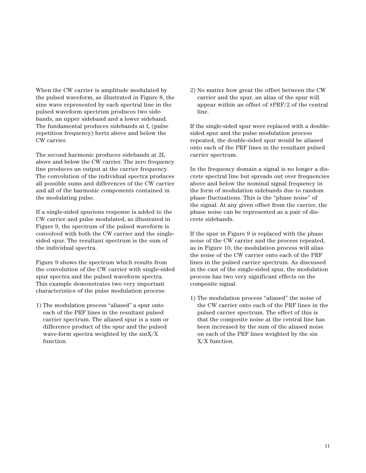When the CW carrier is amplitude modulated by the pulsed waveform, as illustrated in Figure 8, the sine wave represented by each spectral line in the pulsed waveform spectrum produces two sidebands, an upper sideband and a lower sideband. The fundamental produces sidebands at  $f_r$  (pulse repetition frequency) hertz above and below the CW carrier.

The second harmonic produces sidebands at  $2f_r$ above and below the CW carrier. The zero frequency line produces an output at the carrier frequency. The convolution of the individual spectra produces all possible sums and differences of the CW carrier and all of the harmonic components contained in the modulating pulse.

If a single-sided spurious response is added to the CW carrier and pulse modulated, as illustrated in Figure 9, the spectrum of the pulsed waveform is convolved with both the CW carrier and the singlesided spur. The resultant spectrum is the sum of the individual spectra.

Figure 9 shows the spectrum which results from the convolution of the CW carrier with single-sided spur spectra and the pulsed waveform spectra. This example demonstrates two very important characteristics of the pulse modulation process:

1) The modulation process "aliased" a spur onto each of the PRF lines in the resultant pulsed carrier spectrum. The aliased spur is a sum or difference product of the spur and the pulsed wave-form spectra weighted by the sinX/X function.

2) No matter how great the offset between the CW carrier and the spur, an alias of the spur will appear within an offset of ±PRF/2 of the central line.

If the single-sided spur were replaced with a doublesided spur and the pulse modulation process repeated, the double-sided spur would be aliased onto each of the PRF lines in the resultant pulsed carrier spectrum.

In the frequency domain a signal is no longer a discrete spectral line but spreads out over frequencies above and below the nominal signal frequency in the form of modulation sidebands due to random phase fluctuations. This is the "phase noise" of the signal. At any given offset from the carrier, the phase noise can be represented as a pair of discrete sidebands.

If the spur in Figure 9 is replaced with the phase noise of the CW carrier and the process repeated, as in Figure 10, the modulation process will alias the noise of the CW carrier onto each of the PRF lines in the pulsed carrier spectrum. As discussed in the cast of the single-sided spur, the modulation process has two very significant effects on the composite signal:

1) The modulation process "aliased" the noise of the CW carrier onto each of the PRF lines in the pulsed carrier spectrum. The effect of this is that the composite noise at the central line has been increased by the sum of the aliased noise on each of the PRF lines weighted by the sin X/X function.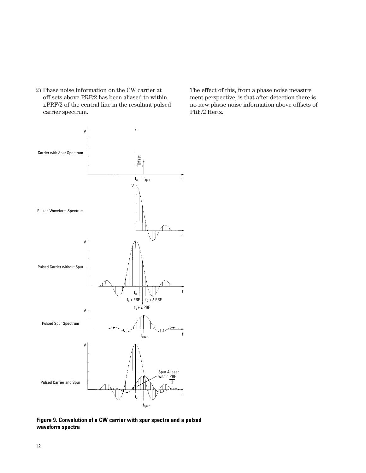2) Phase noise information on the CW carrier at off sets above PRF/2 has been aliased to within ±PRF/2 of the central line in the resultant pulsed carrier spectrum.

The effect of this, from a phase noise measure ment perspective, is that after detection there is no new phase noise information above offsets of PRF/2 Hertz.



**Figure 9. Convolution of a CW carrier with spur spectra and a pulsed waveform spectra**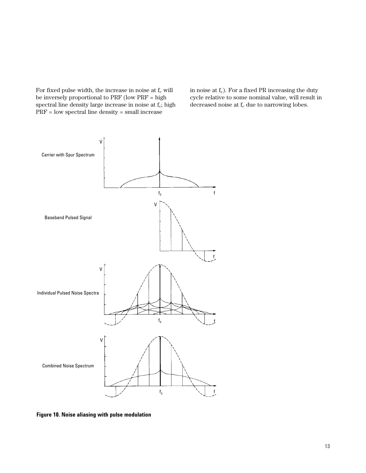For fixed pulse width, the increase in noise at  $f_c$  will be inversely proportional to PRF (low PRF = high spectral line density large increase in noise at f<sub>c</sub>; high PRF = low spectral line density = small increase

in noise at  $f_c$ ). For a fixed PR increasing the duty cycle relative to some nominal value, will result in decreased noise at  $f_c$  due to narrowing lobes.



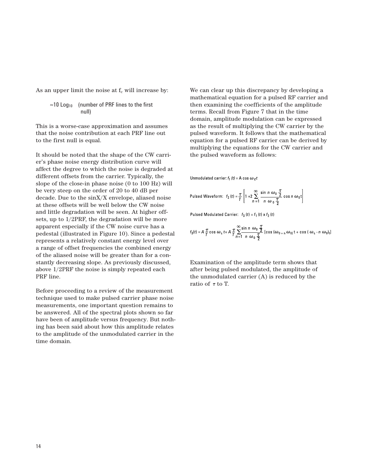As an upper limit the noise at  $f_c$  will increase by:

$$
\approx 10 \text{ Log}_{10} \quad \text{(number of PRF lines to the first null)}
$$

This is a worse-case approximation and assumes that the noise contribution at each PRF line out to the first null is equal.

It should be noted that the shape of the CW carrier's phase noise energy distribution curve will affect the degree to which the noise is degraded at different offsets from the carrier. Typically, the slope of the close-in phase noise (0 to 100 Hz) will be very steep on the order of 20 to 40 dB per decade. Due to the sinX/X envelope, aliased noise at these offsets will be well below the CW noise and little degradation will be seen. At higher offsets, up to 1/2PRF, the degradation will be more apparent especially if the CW noise curve has a pedestal (illustrated in Figure 10). Since a pedestal represents a relatively constant energy level over a range of offset frequencies the combined energy of the aliased noise will be greater than for a constantly decreasing slope. As previously discussed, above 1/2PRF the noise is simply repeated each PRF line.

Before proceeding to a review of the measurement technique used to make pulsed carrier phase noise measurements, one important question remains to be answered. All of the spectral plots shown so far have been of amplitude versus frequency. But nothing has been said about how this amplitude relates to the amplitude of the unmodulated carrier in the time domain.

We can clear up this discrepancy by developing a mathematical equation for a pulsed RF carrier and then examining the coefficients of the amplitude terms. Recall from Figure 7 that in the time domain, amplitude modulation can be expressed as the result of multiplying the CW carrier by the pulsed waveform. It follows that the mathematical equation for a pulsed RF carrier can be derived by multiplying the equations for the CW carrier and the pulsed waveform as follows:

Unmodulated carrier:  $f_1(t) = A \cos \omega_c t$ 

$$
\text{Pulsed Waveform:} \quad f_2(t) = \frac{\tau}{T} \left[ 1 + 2 \sum_{n=1}^{\infty} \frac{\sin n \omega_0}{n \omega_0} \frac{\tau}{2} \cos n \omega_0 t \right]
$$

Pulsed Modulated Carrier:  $f_3(t) = f_1(t) \times f_2(t)$ 

$$
f_3(t) = A \frac{T}{T} \cos \omega_c t + A \frac{T}{T} \sum_{n=1}^{\infty} \frac{\sin n \omega_0 \frac{T}{2}}{n \omega_0 \frac{T}{2}} [\cos (\omega_{0+n} \omega_{0}) t + \cos (\omega_c - n \omega_0)_t]
$$

Examination of the amplitude term shows that after being pulsed modulated, the amplitude of the unmodulated carrier (A) is reduced by the ratio of  $\tau$  to T.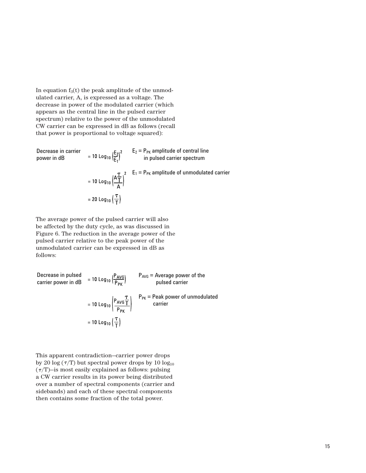In equation  $f_3(t)$  the peak amplitude of the unmodulated carrier, A, is expressed as a voltage. The decrease in power of the modulated carrier (which appears as the central line in the pulsed carrier spectrum) relative to the power of the unmodulated CW carrier can be expressed in dB as follows (recall that power is proportional to voltage squared):

Decrease in carrier  $E_2 = P_{PK}$  amplitude of central line power in dB in pulsed carrier spectrum = 10 Log<sub>10</sub>  $\left(\frac{A\frac{T}{T}}{A}\right)^2$   $E_1 = P_{PK}$  amplitude of unmodulated carrier = 20 Log<sub>10</sub> $\left(\frac{\tau}{T}\right)$ 

The average power of the pulsed carrier will also be affected by the duty cycle, as was discussed in Figure 6. The reduction in the average power of the pulsed carrier relative to the peak power of the unmodulated carrier can be expressed in dB as follows:

Decrease in pulsed  $P_{AVG}$  = Average power of the carrier power in dB pulsed carrier  $P_{PK}$  = Peak power of unmodulated carrier= 10 Log<sub>10</sub> $\left(\frac{\tau}{T}\right)$ 

This apparent contradiction—carrier power drops by 20 log  $(\tau/T)$  but spectral power drops by 10 log<sub>10</sub>  $(\tau/T)$ —is most easily explained as follows: pulsing a CW carrier results in its power being distributed over a number of spectral components (carrier and sidebands) and each of these spectral components then contains some fraction of the total power.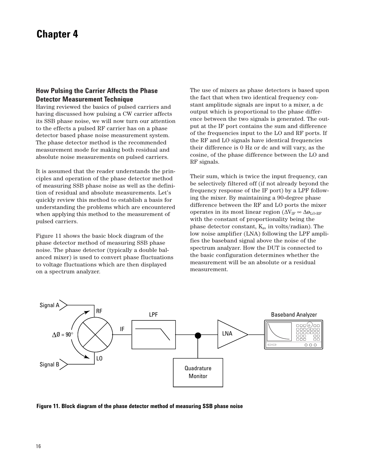# **Chapter 4**

## **How Pulsing the Carrier Affects the Phase Detector Measurement Technique**

Having reviewed the basics of pulsed carriers and having discussed how pulsing a CW carrier affects its SSB phase noise, we will now turn our attention to the effects a pulsed RF carrier has on a phase detector based phase noise measurement system. The phase detector method is the recommended measurement mode for making both residual and absolute noise measurements on pulsed carriers.

It is assumed that the reader understands the principles and operation of the phase detector method of measuring SSB phase noise as well as the definition of residual and absolute measurements. Let's quickly review this method to establish a basis for understanding the problems which are encountered when applying this method to the measurement of pulsed carriers.

Figure 11 shows the basic block diagram of the phase detector method of measuring SSB phase noise. The phase detector (typically a double balanced mixer) is used to convert phase fluctuations to voltage fluctuations which are then displayed on a spectrum analyzer.

The use of mixers as phase detectors is based upon the fact that when two identical frequency constant amplitude signals are input to a mixer, a dc output which is proportional to the phase difference between the two signals is generated. The output at the IF port contains the sum and difference of the frequencies input to the LO and RF ports. If the RF and LO signals have identical frequencies their difference is 0 Hz or dc and will vary, as the cosine, of the phase difference between the LO and RF signals.

Their sum, which is twice the input frequency, can be selectively filtered off (if not already beyond the frequency response of the IF port) by a LPF following the mixer. By maintaining a 90-degree phase difference between the RF and LO ports the mixer operates in its most linear region ( $\Delta V_{IF} \approx \Delta \phi_{LO-RF}$ with the constant of proportionality being the phase detector constant,  $K_{\varnothing}$ , in volts/radian). The low noise amplifier (LNA) following the LPF amplifies the baseband signal above the noise of the spectrum analyzer. How the DUT is connected to the basic configuration determines whether the measurement will be an absolute or a residual measurement.



**Figure 11. Block diagram of the phase detector method of measuring SSB phase noise**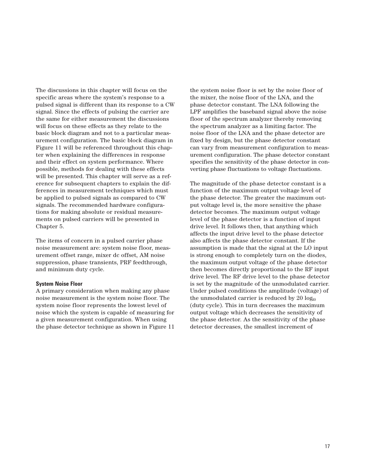The discussions in this chapter will focus on the specific areas where the system's response to a pulsed signal is different than its response to a CW signal. Since the effects of pulsing the carrier are the same for either measurement the discussions will focus on these effects as they relate to the basic block diagram and not to a particular measurement configuration. The basic block diagram in Figure 11 will be referenced throughout this chapter when explaining the differences in response and their effect on system performance. Where possible, methods for dealing with these effects will be presented. This chapter will serve as a reference for subsequent chapters to explain the differences in measurement techniques which must be applied to pulsed signals as compared to CW signals. The recommended hardware configurations for making absolute or residual measurements on pulsed carriers will be presented in Chapter 5.

The items of concern in a pulsed carrier phase noise measurement are: system noise floor, measurement offset range, mixer dc offset, AM noise suppression, phase transients, PRF feedthrough, and minimum duty cycle.

#### **System Noise Floor**

A primary consideration when making any phase noise measurement is the system noise floor. The system noise floor represents the lowest level of noise which the system is capable of measuring for a given measurement configuration. When using the phase detector technique as shown in Figure 11

the system noise floor is set by the noise floor of the mixer, the noise floor of the LNA, and the phase detector constant. The LNA following the LPF amplifies the baseband signal above the noise floor of the spectrum analyzer thereby removing the spectrum analyzer as a limiting factor. The noise floor of the LNA and the phase detector are fixed by design, but the phase detector constant can vary from measurement configuration to measurement configuration. The phase detector constant specifies the sensitivity of the phase detector in converting phase fluctuations to voltage fluctuations.

The magnitude of the phase detector constant is a function of the maximum output voltage level of the phase detector. The greater the maximum output voltage level is, the more sensitive the phase detector becomes. The maximum output voltage level of the phase detector is a function of input drive level. It follows then, that anything which affects the input drive level to the phase detector also affects the phase detector constant. If the assumption is made that the signal at the LO input is strong enough to completely turn on the diodes, the maximum output voltage of the phase detector then becomes directly proportional to the RF input drive level. The RF drive level to the phase detector is set by the magnitude of the unmodulated carrier. Under pulsed conditions the amplitude (voltage) of the unmodulated carrier is reduced by  $20 \log_{10}$ (duty cycle). This in turn decreases the maximum output voltage which decreases the sensitivity of the phase detector. As the sensitivity of the phase detector decreases, the smallest increment of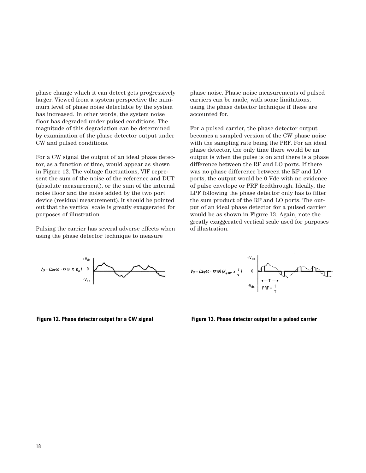phase change which it can detect gets progressively larger. Viewed from a system perspective the minimum level of phase noise detectable by the system has increased. In other words, the system noise floor has degraded under pulsed conditions. The magnitude of this degradation can be determined by examination of the phase detector output under CW and pulsed conditions.

For a CW signal the output of an ideal phase detector, as a function of time, would appear as shown in Figure 12. The voltage fluctuations, VIF represent the sum of the noise of the reference and DUT (absolute measurement), or the sum of the internal noise floor and the noise added by the two port device (residual measurement). It should be pointed out that the vertical scale is greatly exaggerated for purposes of illustration.

Pulsing the carrier has several adverse effects when using the phase detector technique to measure

phase noise. Phase noise measurements of pulsed carriers can be made, with some limitations, using the phase detector technique if these are accounted for.

For a pulsed carrier, the phase detector output becomes a sampled version of the CW phase noise with the sampling rate being the PRF. For an ideal phase detector, the only time there would be an output is when the pulse is on and there is a phase difference between the RF and LO ports. If there was no phase difference between the RF and LO ports, the output would be 0 Vdc with no evidence of pulse envelope or PRF feedthrough. Ideally, the LPF following the phase detector only has to filter the sum product of the RF and LO ports. The output of an ideal phase detector for a pulsed carrier would be as shown in Figure 13. Again, note the greatly exaggerated vertical scale used for purposes of illustration.



1 T  $+V_{dc}$ -V<sub>dc</sub> 0 T PRF =

**Figure 12. Phase detector output for a CW signal Figure 13. Phase detector output for a pulsed carrier**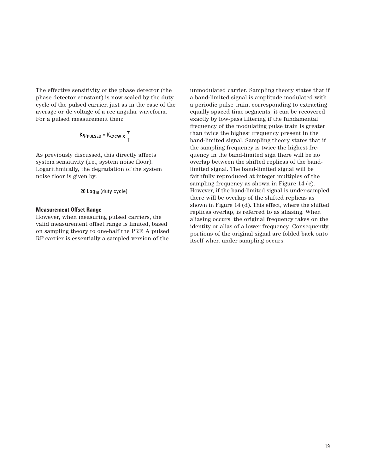The effective sensitivity of the phase detector (the phase detector constant) is now scaled by the duty cycle of the pulsed carrier, just as in the case of the average or dc voltage of a rec angular waveform. For a pulsed measurement then:

$$
K\phi_{PULSED} = K\phi c w x \frac{\tau}{T}
$$

As previously discussed, this directly affects system sensitivity (i.e., system noise floor). Logarithmically, the degradation of the system noise floor is given by:

20 Log10 (duty cycle)

### **Measurement Offset Range**

However, when measuring pulsed carriers, the valid measurement offset range is limited, based on sampling theory to one-half the PRF. A pulsed RF carrier is essentially a sampled version of the

unmodulated carrier. Sampling theory states that if a band-limited signal is amplitude modulated with a periodic pulse train, corresponding to extracting equally spaced time segments, it can be recovered exactly by low-pass filtering if the fundamental frequency of the modulating pulse train is greater than twice the highest frequency present in the band-limited signal. Sampling theory states that if the sampling frequency is twice the highest frequency in the band-limited sign there will be no overlap between the shifted replicas of the bandlimited signal. The band-limited signal will be faithfully reproduced at integer multiples of the sampling frequency as shown in Figure 14 (c). However, if the band-limited signal is under-sampled there will be overlap of the shifted replicas as shown in Figure 14 (d). This effect, where the shifted replicas overlap, is referred to as aliasing. When aliasing occurs, the original frequency takes on the identity or alias of a lower frequency. Consequently, portions of the original signal are folded back onto itself when under sampling occurs.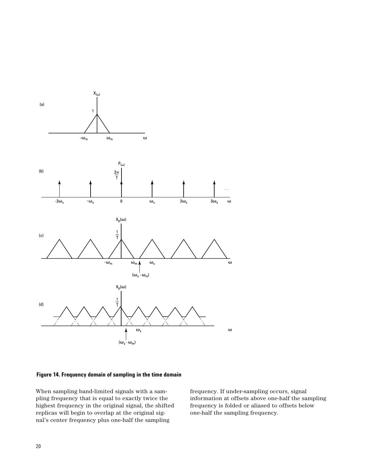

### **Figure 14. Frequency domain of sampling in the time domain**

When sampling band-limited signals with a sampling frequency that is equal to exactly twice the highest frequency in the original signal, the shifted replicas will begin to overlap at the original signal's center frequency plus one-half the sampling

frequency. If under-sampling occurs, signal information at offsets above one-half the sampling frequency is folded or aliased to offsets below one-half the sampling frequency.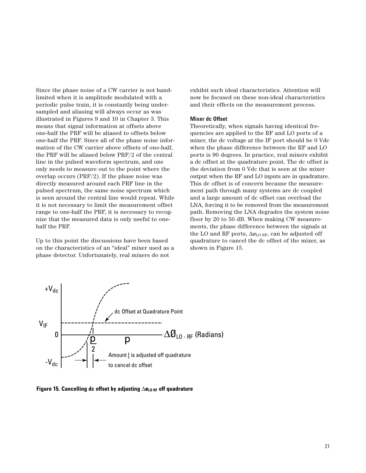Since the phase noise of a CW carrier is not bandlimited when it is amplitude modulated with a periodic pulse train, it is constantly being undersampled and aliasing will always occur as was illustrated in Figures 9 and 10 in Chapter 3. This means that signal information at offsets above one-half the PRF will be aliased to offsets below one-half the PRF. Since all of the phase noise information of the CW carrier above offsets of one-half, the PRF will be aliased below PRF/2 of the central line in the pulsed waveform spectrum, and one only needs to measure out to the point where the overlap occurs (PRF/2). If the phase noise was directly measured around each PRF line in the pulsed spectrum, the same noise spectrum which is seen around the central line would repeat. While it is not necessary to limit the measurement offset range to one-half the PRF, it is necessary to recognize that the measured data is only useful to onehalf the PRF.

Up to this point the discussions have been based on the characteristics of an "ideal" mixer used as a phase detector. Unfortunately, real mixers do not

exhibit such ideal characteristics. Attention will now be focused on these non-ideal characteristics and their effects on the measurement process.

#### **Mixer dc Offset**

Theoretically, when signals having identical frequencies are applied to the RF and LO ports of a mixer, the dc voltage at the IF port should be 0 Vdc when the phase difference between the RF and LO ports is 90 degrees. In practice, real mixers exhibit a dc offset at the quadrature point. The dc offset is the deviation from 0 Vdc that is seen at the mixer output when the RF and LO inputs are in quadrature. This dc offset is of concern because the measurement path through many systems are dc coupled and a large amount of dc offset can overload the LNA, forcing it to be removed from the measurement path. Removing the LNA degrades the system noise floor by 20 to 50 dB. When making CW measurements, the phase difference between the signals at the LO and RF ports,  $\Delta\varphi_{\text{LO RF}}$ , can be adjusted off quadrature to cancel the dc offset of the mixer, as shown in Figure 15.



**Figure 15. Cancelling dc offset by adjusting** ∆**øLO RF off quadrature**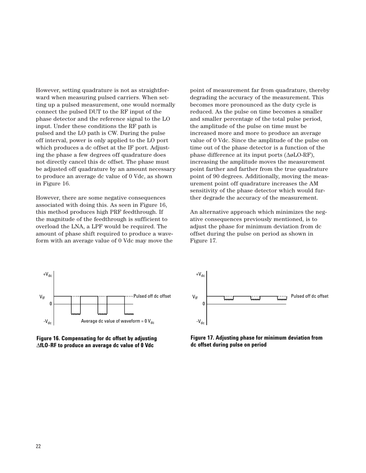However, setting quadrature is not as straightforward when measuring pulsed carriers. When setting up a pulsed measurement, one would normally connect the pulsed DUT to the RF input of the phase detector and the reference signal to the LO input. Under these conditions the RF path is pulsed and the LO path is CW. During the pulse off interval, power is only applied to the LO port which produces a dc offset at the IF port. Adjusting the phase a few degrees off quadrature does not directly cancel this dc offset. The phase must be adjusted off quadrature by an amount necessary to produce an average dc value of 0 Vdc, as shown in Figure 16.

However, there are some negative consequences associated with doing this. As seen in Figure 16, this method produces high PRF feedthrough. If the magnitude of the feedthrough is sufficient to overload the LNA, a LPF would be required. The amount of phase shift required to produce a waveform with an average value of 0 Vdc may move the

point of measurement far from quadrature, thereby degrading the accuracy of the measurement. This becomes more pronounced as the duty cycle is reduced. As the pulse on time becomes a smaller and smaller percentage of the total pulse period, the amplitude of the pulse on time must be increased more and more to produce an average value of 0 Vdc. Since the amplitude of the pulse on time out of the phase detector is a function of the phase difference at its input ports (∆øLO-RF), increasing the amplitude moves the measurement point farther and farther from the true quadrature point of 90 degrees. Additionally, moving the measurement point off quadrature increases the AM sensitivity of the phase detector which would further degrade the accuracy of the measurement.

An alternative approach which minimizes the negative consequences previously mentioned, is to adjust the phase for minimum deviation from dc offset during the pulse on period as shown in Figure 17.



**Figure 16. Compensating for dc offset by adjusting**  ∆**fLO-RF to produce an average dc value of 0 Vdc**



**Figure 17. Adjusting phase for minimum deviation from dc offset during pulse on period**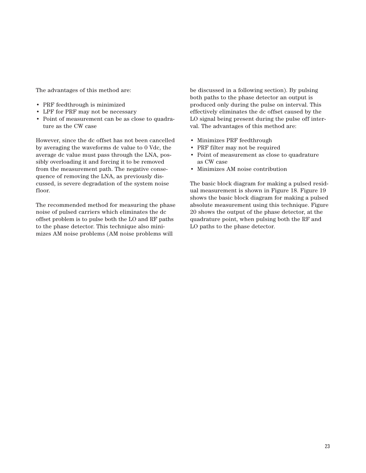The advantages of this method are:

- PRF feedthrough is minimized
- LPF for PRF may not be necessary
- Point of measurement can be as close to quadrature as the CW case

However, since the dc offset has not been cancelled by averaging the waveforms dc value to 0 Vdc, the average dc value must pass through the LNA, possibly overloading it and forcing it to be removed from the measurement path. The negative consequence of removing the LNA, as previously discussed, is severe degradation of the system noise floor.

The recommended method for measuring the phase noise of pulsed carriers which eliminates the dc offset problem is to pulse both the LO and RF paths to the phase detector. This technique also minimizes AM noise problems (AM noise problems will

be discussed in a following section). By pulsing both paths to the phase detector an output is produced only during the pulse on interval. This effectively eliminates the dc offset caused by the LO signal being present during the pulse off interval. The advantages of this method are:

- Minimizes PRF feedthrough
- PRF filter may not be required
- Point of measurement as close to quadrature as CW case
- Minimizes AM noise contribution

The basic block diagram for making a pulsed residual measurement is shown in Figure 18. Figure 19 shows the basic block diagram for making a pulsed absolute measurement using this technique. Figure 20 shows the output of the phase detector, at the quadrature point, when pulsing both the RF and LO paths to the phase detector.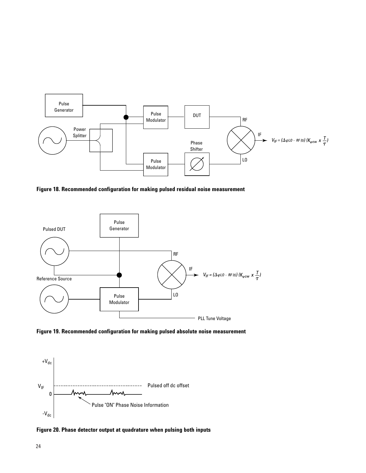

**Figure 18. Recommended configuration for making pulsed residual noise measurement**



**Figure 19. Recommended configuration for making pulsed absolute noise measurement**



**Figure 20. Phase detector output at quadrature when pulsing both inputs**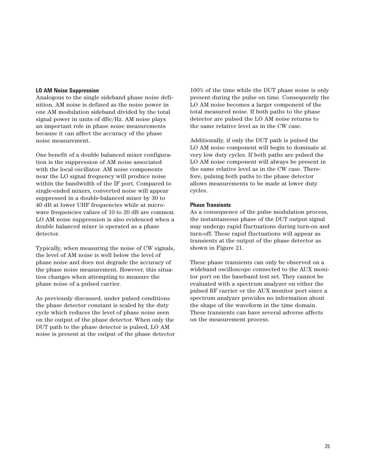#### **LO AM Noise Suppression**

Analogous to the single sideband phase noise definition, AM noise is defined as the noise power in one AM modulation sideband divided by the total signal power in units of dBc/Hz. AM noise plays an important role in phase noise measurements because it can affect the accuracy of the phase noise measurement.

One benefit of a double balanced mixer configuration is the suppression of AM noise associated with the local oscillator. AM noise components near the LO signal frequency will produce noise within the bandwidth of the IF port. Compared to single-ended mixers, converted noise will appear suppressed in a double-balanced mixer by 30 to 40 dB at lower UHF frequencies while at microwave frequencies values of 10 to 20 dB are common. LO AM noise suppression is also evidenced when a double balanced mixer is operated as a phase detector.

Typically, when measuring the noise of CW signals, the level of AM noise is well below the level of phase noise and does not degrade the accuracy of the phase noise measurement. However, this situation changes when attempting to measure the phase noise of a pulsed carrier.

As previously discussed, under pulsed conditions the phase detector constant is scaled by the duty cycle which reduces the level of phase noise seen on the output of the phase detector. When only the DUT path to the phase detector is pulsed, LO AM noise is present at the output of the phase detector

100% of the time while the DUT phase noise is only present during the pulse on time. Consequently the LO AM noise becomes a larger component of the total measured noise. If both paths to the phase detector are pulsed the LO AM noise returns to the same relative level as in the CW case.

Additionally, if only the DUT path is pulsed the LO AM noise component will begin to dominate at very low duty cycles. If both paths are pulsed the LO AM noise component will always be present in the same relative level as in the CW case. Therefore, pulsing both paths to the phase detector allows measurements to be made at lower duty cycles.

#### **Phase Transients**

As a consequence of the pulse modulation process, the instantaneous phase of the DUT output signal may undergo rapid fluctuations during turn-on and turn-off. These rapid fluctuations will appear as transients at the output of the phase detector as shown in Figure 21.

These phase transients can only be observed on a wideband oscilloscope connected to the AUX monitor port on the baseband test set. They cannot be evaluated with a spectrum analyzer on either the pulsed RF carrier or the AUX monitor port since a spectrum analyzer provides no information about the shape of the waveform in the time domain. These transients can have several adverse affects on the measurement process.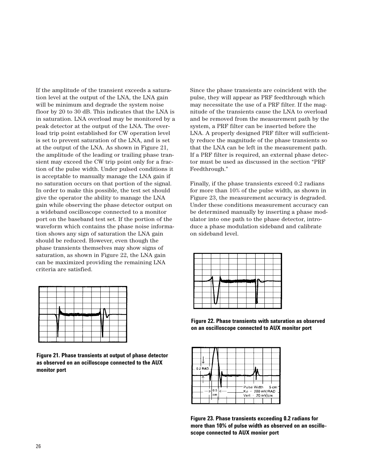If the amplitude of the transient exceeds a saturation level at the output of the LNA, the LNA gain will be minimum and degrade the system noise floor by 20 to 30 dB. This indicates that the LNA is in saturation. LNA overload may be monitored by a peak detector at the output of the LNA. The overload trip point established for CW operation level is set to prevent saturation of the LNA, and is set at the output of the LNA. As shown in Figure 21, the amplitude of the leading or trailing phase transient may exceed the CW trip point only for a fraction of the pulse width. Under pulsed conditions it is acceptable to manually manage the LNA gain if no saturation occurs on that portion of the signal. In order to make this possible, the test set should give the operator the ability to manage the LNA gain while observing the phase detector output on a wideband oscilloscope connected to a monitor port on the baseband test set. If the portion of the waveform which contains the phase noise information shows any sign of saturation the LNA gain should be reduced. However, even though the phase transients themselves may show signs of saturation, as shown in Figure 22, the LNA gain can be maximized providing the remaining LNA criteria are satisfied.



**Figure 21. Phase transients at output of phase detector as observed on an ocilloscope connected to the AUX monitor port**

Since the phase transients are coincident with the pulse, they will appear as PRF feedthrough which may necessitate the use of a PRF filter. If the magnitude of the transients cause the LNA to overload and be removed from the measurement path by the system, a PRF filter can be inserted before the LNA. A properly designed PRF filter will sufficiently reduce the magnitude of the phase transients so that the LNA can be left in the measurement path. If a PRF filter is required, an external phase detector must be used as discussed in the section "PRF Feedthrough."

Finally, if the phase transients exceed 0.2 radians for more than 10% of the pulse width, as shown in Figure 23, the measurement accuracy is degraded. Under these conditions measurement accuracy can be determined manually by inserting a phase modulator into one path to the phase detector, introduce a phase modulation sideband and calibrate on sideband level.

**Figure 22. Phase transients with saturation as observed on an oscilloscope connected to AUX monitor port**



**Figure 23. Phase transients exceeding 0.2 radians for more than 10% of pulse width as observed on an oscilloscope connected to AUX monior port**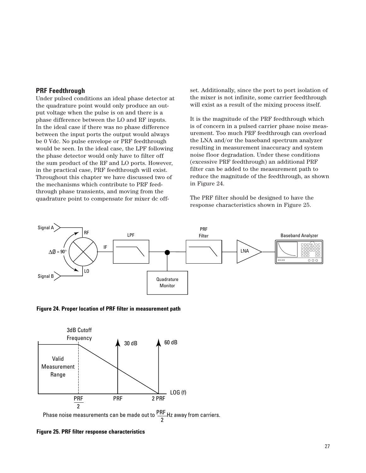### **PRF Feedthrough**

Under pulsed conditions an ideal phase detector at the quadrature point would only produce an output voltage when the pulse is on and there is a phase difference between the LO and RF inputs. In the ideal case if there was no phase difference between the input ports the output would always be 0 Vdc. No pulse envelope or PRF feedthrough would be seen. In the ideal case, the LPF following the phase detector would only have to filter off the sum product of the RF and LO ports. However, in the practical case, PRF feedthrough will exist. Throughout this chapter we have discussed two of the mechanisms which contribute to PRF feedthrough phase transients, and moving from the quadrature point to compensate for mixer dc offset. Additionally, since the port to port isolation of the mixer is not infinite, some carrier feedthrough will exist as a result of the mixing process itself.

It is the magnitude of the PRF feedthrough which is of concern in a pulsed carrier phase noise measurement. Too much PRF feedthrough can overload the LNA and/or the baseband spectrum analyzer resulting in measurement inaccuracy and system noise floor degradation. Under these conditions (excessive PRF feedthrough) an additional PRF filter can be added to the measurement path to reduce the magnitude of the feedthrough, as shown in Figure 24.

The PRF filter should be designed to have the response characteristics shown in Figure 25.



**Figure 24. Proper location of PRF filter in measurement path**



**Figure 25. PRF filter response characteristics**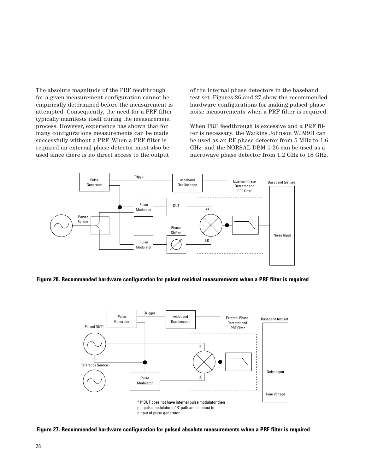The absolute magnitude of the PRF feedthrough for a given measurement configuration cannot be empirically determined before the measurement is attempted. Consequently, the need for a PRF filter typically manifests itself during the measurement process. However, experience has shown that for many configurations measurements can be made successfully without a PRF. When a PRF filter is required an external phase detector must also be used since there is no direct access to the output

of the internal phase detectors in the baseband test set. Figures 26 and 27 show the recommended hardware configurations for making pulsed phase noise measurements when a PRF filter is required.

When PRF feedthrough is excessive and a PRF filter is necessary, the Watkins Johnson WJM9H can be used as an RF phase detector from 5 MHz to 1.6 GHz, and the NORSAL DBM 1-26 can be used as a microwave phase detector from 1.2 GHz to 18 GHz.



**Figure 26. Recommended hardware configuration for pulsed residual measurements when a PRF filter is required**



**Figure 27. Recommended hardware configuration for pulsed absolute measurements when a PRF filter is required**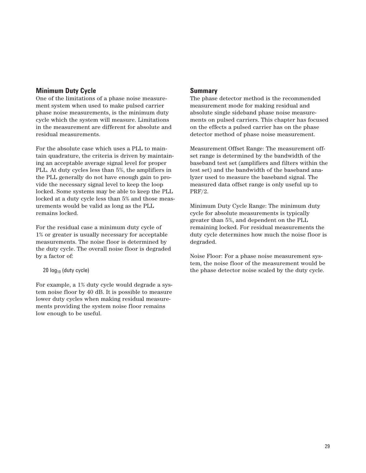# **Minimum Duty Cycle**

One of the limitations of a phase noise measurement system when used to make pulsed carrier phase noise measurements, is the minimum duty cycle which the system will measure. Limitations in the measurement are different for absolute and residual measurements.

For the absolute case which uses a PLL to maintain quadrature, the criteria is driven by maintaining an acceptable average signal level for proper PLL. At duty cycles less than 5%, the amplifiers in the PLL generally do not have enough gain to provide the necessary signal level to keep the loop locked. Some systems may be able to keep the PLL locked at a duty cycle less than 5% and those measurements would be valid as long as the PLL remains locked.

For the residual case a minimum duty cycle of 1% or greater is usually necessary for acceptable measurements. The noise floor is determined by the duty cycle. The overall noise floor is degraded by a factor of:

 $20 \log_{10}$  (duty cycle)

For example, a 1% duty cycle would degrade a system noise floor by 40 dB. It is possible to measure lower duty cycles when making residual measurements providing the system noise floor remains low enough to be useful.

## **Summary**

The phase detector method is the recommended measurement mode for making residual and absolute single sideband phase noise measurements on pulsed carriers. This chapter has focused on the effects a pulsed carrier has on the phase detector method of phase noise measurement.

Measurement Offset Range: The measurement offset range is determined by the bandwidth of the baseband test set (amplifiers and filters within the test set) and the bandwidth of the baseband analyzer used to measure the baseband signal. The measured data offset range is only useful up to PRF/2.

Minimum Duty Cycle Range: The minimum duty cycle for absolute measurements is typically greater than 5%, and dependent on the PLL remaining locked. For residual measurements the duty cycle determines how much the noise floor is degraded.

Noise Floor: For a phase noise measurement system, the noise floor of the measurement would be the phase detector noise scaled by the duty cycle.